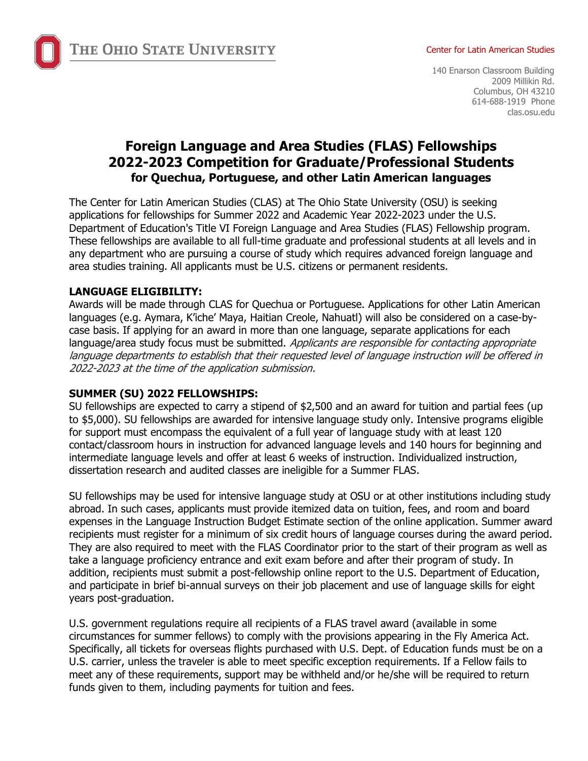THE OHIO STATE UNIVERSITY

#### Center for Latin American Studies

140 Enarson Classroom Building 2009 Millikin Rd. Columbus, OH 43210 614-688-1919 Phone clas.osu.edu

# **Foreign Language and Area Studies (FLAS) Fellowships 2022-2023 Competition for Graduate/Professional Students for Quechua, Portuguese, and other Latin American languages**

The Center for Latin American Studies (CLAS) at The Ohio State University (OSU) is seeking applications for fellowships for Summer 2022 and Academic Year 2022-2023 under the U.S. Department of Education's Title VI Foreign Language and Area Studies (FLAS) Fellowship program. These fellowships are available to all full-time graduate and professional students at all levels and in any department who are pursuing a course of study which requires advanced foreign language and area studies training. All applicants must be U.S. citizens or permanent residents.

### **LANGUAGE ELIGIBILITY:**

Awards will be made through CLAS for Quechua or Portuguese. Applications for other Latin American languages (e.g. Aymara, K'iche' Maya, Haitian Creole, Nahuatl) will also be considered on a case-bycase basis. If applying for an award in more than one language, separate applications for each language/area study focus must be submitted. Applicants are responsible for contacting appropriate language departments to establish that their requested level of language instruction will be offered in 2022-2023 at the time of the application submission.

#### **SUMMER (SU) 2022 FELLOWSHIPS:**

SU fellowships are expected to carry a stipend of \$2,500 and an award for tuition and partial fees (up to \$5,000). SU fellowships are awarded for intensive language study only. Intensive programs eligible for support must encompass the equivalent of a full year of language study with at least 120 contact/classroom hours in instruction for advanced language levels and 140 hours for beginning and intermediate language levels and offer at least 6 weeks of instruction. Individualized instruction, dissertation research and audited classes are ineligible for a Summer FLAS.

SU fellowships may be used for intensive language study at OSU or at other institutions including study abroad. In such cases, applicants must provide itemized data on tuition, fees, and room and board expenses in the Language Instruction Budget Estimate section of the online application. Summer award recipients must register for a minimum of six credit hours of language courses during the award period. They are also required to meet with the FLAS Coordinator prior to the start of their program as well as take a language proficiency entrance and exit exam before and after their program of study. In addition, recipients must submit a post-fellowship online report to the U.S. Department of Education, and participate in brief bi-annual surveys on their job placement and use of language skills for eight years post-graduation.

U.S. government regulations require all recipients of a FLAS travel award (available in some circumstances for summer fellows) to comply with the provisions appearing in the Fly America Act. Specifically, all tickets for overseas flights purchased with U.S. Dept. of Education funds must be on a U.S. carrier, unless the traveler is able to meet specific exception requirements. If a Fellow fails to meet any of these requirements, support may be withheld and/or he/she will be required to return funds given to them, including payments for tuition and fees.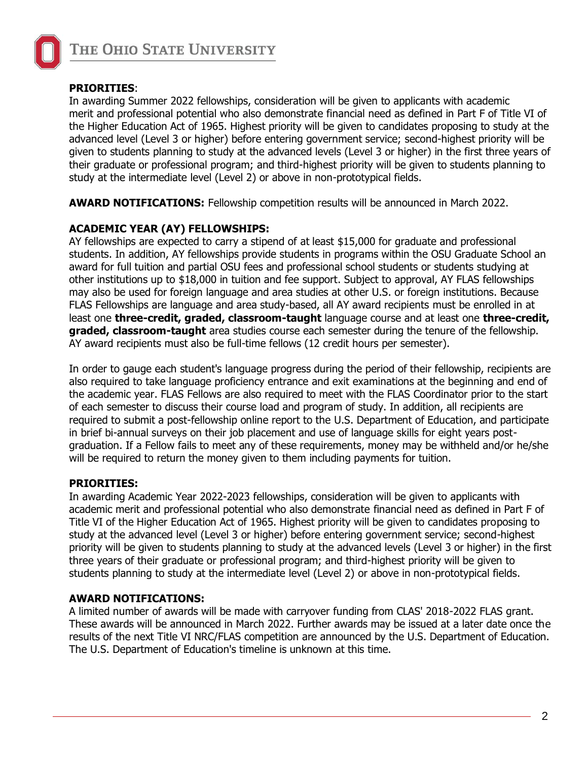

### **PRIORITIES**:

In awarding Summer 2022 fellowships, consideration will be given to applicants with academic merit and professional potential who also demonstrate financial need as defined in Part F of Title VI of the Higher Education Act of 1965. Highest priority will be given to candidates proposing to study at the advanced level (Level 3 or higher) before entering government service; second-highest priority will be given to students planning to study at the advanced levels (Level 3 or higher) in the first three years of their graduate or professional program; and third-highest priority will be given to students planning to study at the intermediate level (Level 2) or above in non-prototypical fields.

**AWARD NOTIFICATIONS:** Fellowship competition results will be announced in March 2022.

### **ACADEMIC YEAR (AY) FELLOWSHIPS:**

AY fellowships are expected to carry a stipend of at least \$15,000 for graduate and professional students. In addition, AY fellowships provide students in programs within the OSU Graduate School an award for full tuition and partial OSU fees and professional school students or students studying at other institutions up to \$18,000 in tuition and fee support. Subject to approval, AY FLAS fellowships may also be used for foreign language and area studies at other U.S. or foreign institutions. Because FLAS Fellowships are language and area study-based, all AY award recipients must be enrolled in at least one **three-credit, graded, classroom-taught** language course and at least one **three-credit, graded, classroom-taught** area studies course each semester during the tenure of the fellowship. AY award recipients must also be full-time fellows (12 credit hours per semester).

In order to gauge each student's language progress during the period of their fellowship, recipients are also required to take language proficiency entrance and exit examinations at the beginning and end of the academic year. FLAS Fellows are also required to meet with the FLAS Coordinator prior to the start of each semester to discuss their course load and program of study. In addition, all recipients are required to submit a post-fellowship online report to the U.S. Department of Education, and participate in brief bi-annual surveys on their job placement and use of language skills for eight years postgraduation. If a Fellow fails to meet any of these requirements, money may be withheld and/or he/she will be required to return the money given to them including payments for tuition.

#### **PRIORITIES:**

In awarding Academic Year 2022-2023 fellowships, consideration will be given to applicants with academic merit and professional potential who also demonstrate financial need as defined in Part F of Title VI of the Higher Education Act of 1965. Highest priority will be given to candidates proposing to study at the advanced level (Level 3 or higher) before entering government service; second-highest priority will be given to students planning to study at the advanced levels (Level 3 or higher) in the first three years of their graduate or professional program; and third-highest priority will be given to students planning to study at the intermediate level (Level 2) or above in non-prototypical fields.

#### **AWARD NOTIFICATIONS:**

A limited number of awards will be made with carryover funding from CLAS' 2018-2022 FLAS grant. These awards will be announced in March 2022. Further awards may be issued at a later date once the results of the next Title VI NRC/FLAS competition are announced by the U.S. Department of Education. The U.S. Department of Education's timeline is unknown at this time.